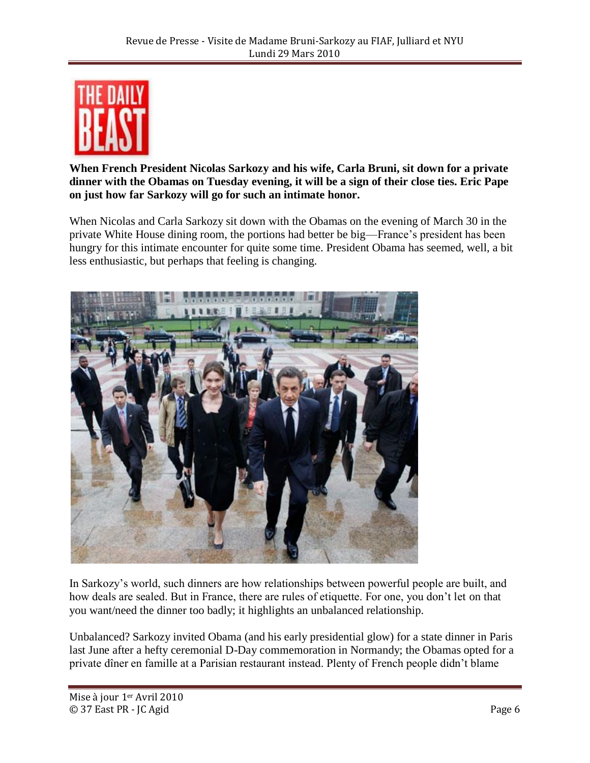

**When French President Nicolas Sarkozy and his wife, Carla Bruni, sit down for a private dinner with the Obamas on Tuesday evening, it will be a sign of their close ties. Eric Pape on just how far Sarkozy will go for such an intimate honor.**

When Nicolas and Carla Sarkozy sit down with the Obamas on the evening of March 30 in the private White House dining room, the portions had better be big—France's president has been hungry for this intimate encounter for quite some time. President Obama has seemed, well, a bit less enthusiastic, but perhaps that feeling is changing.



In Sarkozy's world, such dinners are how relationships between powerful people are built, and how deals are sealed. But in France, there are rules of etiquette. For one, you don't let on that you want/need the dinner too badly; it highlights an unbalanced relationship.

Unbalanced? Sarkozy invited Obama (and his early presidential glow) for a state dinner in Paris last June after a hefty ceremonial D-Day commemoration in Normandy; the Obamas opted for a private dîner en famille at a Parisian restaurant instead. Plenty of French people didn't blame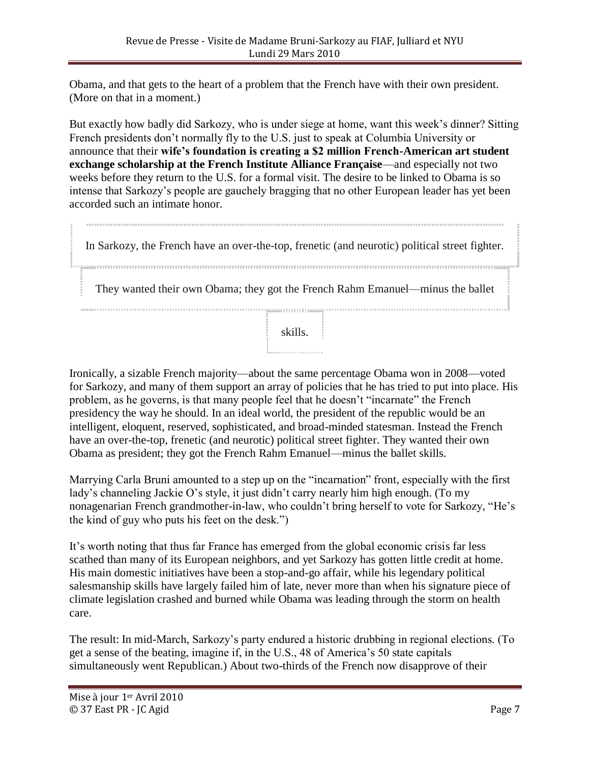Obama, and that gets to the heart of a problem that the French have with their own president. (More on that in a moment.)

But exactly how badly did Sarkozy, who is under siege at home, want this week's dinner? Sitting French presidents don't normally fly to the U.S. just to speak at Columbia University or announce that their **wife's foundation is creating a \$2 million French-American art student exchange scholarship at the French Institute Alliance Française**—and especially not two weeks before they return to the U.S. for a formal visit. The desire to be linked to Obama is so intense that Sarkozy's people are gauchely bragging that no other European leader has yet been accorded such an intimate honor.

In Sarkozy, the French have an over-the-top, frenetic (and neurotic) political street fighter. They wanted their own Obama; they got the French Rahm Emanuel—minus the ballet skills.

Ironically, a sizable French majority—about the same percentage Obama won in 2008—voted for Sarkozy, and many of them support an array of policies that he has tried to put into place. His problem, as he governs, is that many people feel that he doesn't "incarnate" the French presidency the way he should. In an ideal world, the president of the republic would be an intelligent, eloquent, reserved, sophisticated, and broad-minded statesman. Instead the French have an over-the-top, frenetic (and neurotic) political street fighter. They wanted their own Obama as president; they got the French Rahm Emanuel—minus the ballet skills.

Marrying Carla Bruni amounted to a step up on the "incarnation" front, especially with the first lady's channeling Jackie O's style, it just didn't carry nearly him high enough. (To my nonagenarian French grandmother-in-law, who couldn't bring herself to vote for Sarkozy, "He's the kind of guy who puts his feet on the desk.")

It's worth noting that thus far France has emerged from the global economic crisis far less scathed than many of its European neighbors, and yet Sarkozy has gotten little credit at home. His main domestic initiatives have been a stop-and-go affair, while his legendary political salesmanship skills have largely failed him of late, never more than when his signature piece of climate legislation crashed and burned while Obama was leading through the storm on health care.

The result: In mid-March, Sarkozy's party endured a historic drubbing in regional elections. (To get a sense of the beating, imagine if, in the U.S., 48 of America's 50 state capitals simultaneously went Republican.) About two-thirds of the French now disapprove of their